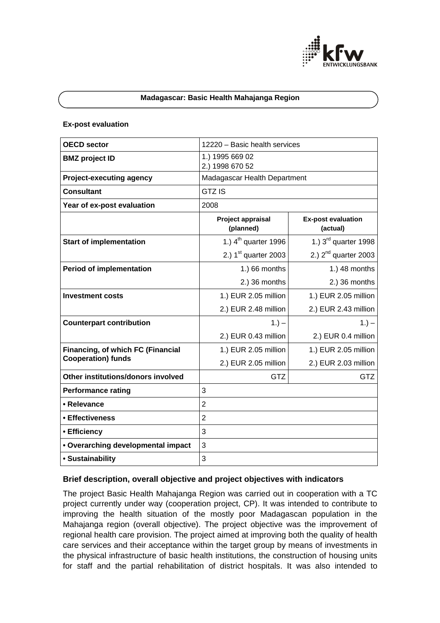

#### **Madagascar: Basic Health Mahajanga Region**

#### **Ex-post evaluation**

| <b>OECD sector</b>                 | 12220 - Basic health services      |                                       |
|------------------------------------|------------------------------------|---------------------------------------|
| <b>BMZ</b> project ID              | 1.) 1995 669 02<br>2.) 1998 670 52 |                                       |
| <b>Project-executing agency</b>    | Madagascar Health Department       |                                       |
| <b>Consultant</b>                  | <b>GTZ IS</b>                      |                                       |
| Year of ex-post evaluation         | 2008                               |                                       |
|                                    | Project appraisal<br>(planned)     | <b>Ex-post evaluation</b><br>(actual) |
| <b>Start of implementation</b>     | 1.) $4th$ quarter 1996             | 1.) $3rd$ quarter 1998                |
|                                    | 2.) $1st$ quarter 2003             | 2.) $2^{nd}$ quarter 2003             |
| <b>Period of implementation</b>    | 1.) 66 months                      | 1.) 48 months                         |
|                                    | 2.) 36 months                      | 2.) 36 months                         |
| <b>Investment costs</b>            | 1.) EUR 2.05 million               | 1.) EUR 2.05 million                  |
|                                    | 2.) EUR 2.48 million               | 2.) EUR 2.43 million                  |
| <b>Counterpart contribution</b>    | $1. -$                             | $1.) -$                               |
|                                    | 2.) EUR 0.43 million               | 2.) EUR 0.4 million                   |
| Financing, of which FC (Financial  | 1.) EUR 2.05 million               | 1.) EUR 2.05 million                  |
| <b>Cooperation) funds</b>          | 2.) EUR 2.05 million               | 2.) EUR 2.03 million                  |
| Other institutions/donors involved | <b>GTZ</b>                         | <b>GTZ</b>                            |
| <b>Performance rating</b>          | 3                                  |                                       |
| • Relevance                        | $\overline{2}$                     |                                       |
| • Effectiveness                    | $\overline{2}$                     |                                       |
| • Efficiency                       | 3                                  |                                       |
| • Overarching developmental impact | 3                                  |                                       |
| • Sustainability                   | 3                                  |                                       |

### **Brief description, overall objective and project objectives with indicators**

The project Basic Health Mahajanga Region was carried out in cooperation with a TC project currently under way (cooperation project, CP). It was intended to contribute to improving the health situation of the mostly poor Madagascan population in the Mahajanga region (overall objective). The project objective was the improvement of regional health care provision. The project aimed at improving both the quality of health care services and their acceptance within the target group by means of investments in the physical infrastructure of basic health institutions, the construction of housing units for staff and the partial rehabilitation of district hospitals. It was also intended to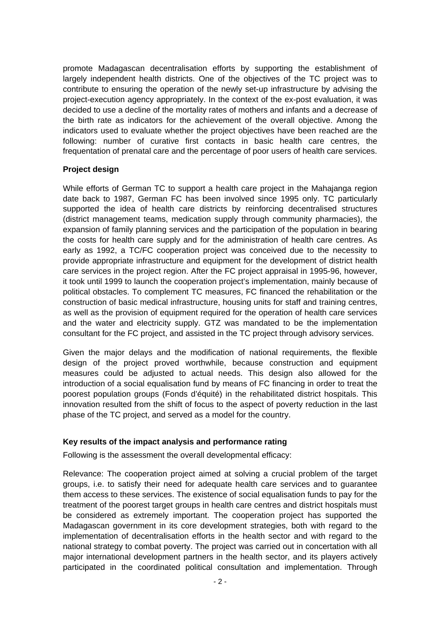promote Madagascan decentralisation efforts by supporting the establishment of largely independent health districts. One of the objectives of the TC project was to contribute to ensuring the operation of the newly set-up infrastructure by advising the project-execution agency appropriately. In the context of the ex-post evaluation, it was decided to use a decline of the mortality rates of mothers and infants and a decrease of the birth rate as indicators for the achievement of the overall objective. Among the indicators used to evaluate whether the project objectives have been reached are the following: number of curative first contacts in basic health care centres, the frequentation of prenatal care and the percentage of poor users of health care services.

# **Project design**

While efforts of German TC to support a health care project in the Mahajanga region date back to 1987, German FC has been involved since 1995 only. TC particularly supported the idea of health care districts by reinforcing decentralised structures (district management teams, medication supply through community pharmacies), the expansion of family planning services and the participation of the population in bearing the costs for health care supply and for the administration of health care centres. As early as 1992, a TC/FC cooperation project was conceived due to the necessity to provide appropriate infrastructure and equipment for the development of district health care services in the project region. After the FC project appraisal in 1995-96, however, it took until 1999 to launch the cooperation project's implementation, mainly because of political obstacles. To complement TC measures, FC financed the rehabilitation or the construction of basic medical infrastructure, housing units for staff and training centres, as well as the provision of equipment required for the operation of health care services and the water and electricity supply. GTZ was mandated to be the implementation consultant for the FC project, and assisted in the TC project through advisory services.

Given the major delays and the modification of national requirements, the flexible design of the project proved worthwhile, because construction and equipment measures could be adjusted to actual needs. This design also allowed for the introduction of a social equalisation fund by means of FC financing in order to treat the poorest population groups (Fonds d'équité) in the rehabilitated district hospitals. This innovation resulted from the shift of focus to the aspect of poverty reduction in the last phase of the TC project, and served as a model for the country.

# **Key results of the impact analysis and performance rating**

Following is the assessment the overall developmental efficacy:

Relevance: The cooperation project aimed at solving a crucial problem of the target groups, i.e. to satisfy their need for adequate health care services and to guarantee them access to these services. The existence of social equalisation funds to pay for the treatment of the poorest target groups in health care centres and district hospitals must be considered as extremely important. The cooperation project has supported the Madagascan government in its core development strategies, both with regard to the implementation of decentralisation efforts in the health sector and with regard to the national strategy to combat poverty. The project was carried out in concertation with all major international development partners in the health sector, and its players actively participated in the coordinated political consultation and implementation. Through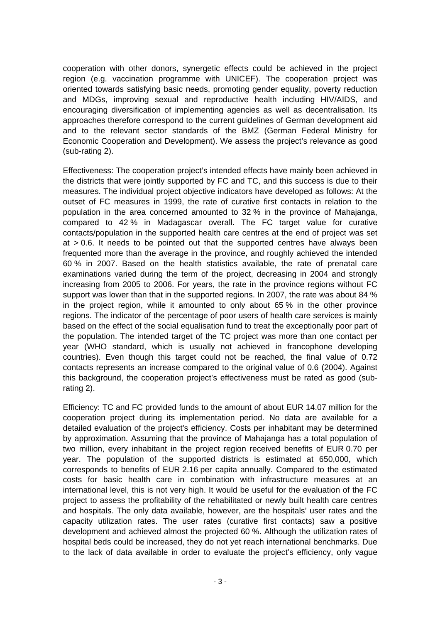cooperation with other donors, synergetic effects could be achieved in the project region (e.g. vaccination programme with UNICEF). The cooperation project was oriented towards satisfying basic needs, promoting gender equality, poverty reduction and MDGs, improving sexual and reproductive health including HIV/AIDS, and encouraging diversification of implementing agencies as well as decentralisation. Its approaches therefore correspond to the current guidelines of German development aid and to the relevant sector standards of the BMZ (German Federal Ministry for Economic Cooperation and Development). We assess the project's relevance as good (sub-rating 2).

Effectiveness: The cooperation project's intended effects have mainly been achieved in the districts that were jointly supported by FC and TC, and this success is due to their measures. The individual project objective indicators have developed as follows: At the outset of FC measures in 1999, the rate of curative first contacts in relation to the population in the area concerned amounted to 32 % in the province of Mahajanga, compared to 42 % in Madagascar overall. The FC target value for curative contacts/population in the supported health care centres at the end of project was set at > 0.6. It needs to be pointed out that the supported centres have always been frequented more than the average in the province, and roughly achieved the intended 60 % in 2007. Based on the health statistics available, the rate of prenatal care examinations varied during the term of the project, decreasing in 2004 and strongly increasing from 2005 to 2006. For years, the rate in the province regions without FC support was lower than that in the supported regions. In 2007, the rate was about 84 % in the project region, while it amounted to only about 65 % in the other province regions. The indicator of the percentage of poor users of health care services is mainly based on the effect of the social equalisation fund to treat the exceptionally poor part of the population. The intended target of the TC project was more than one contact per year (WHO standard, which is usually not achieved in francophone developing countries). Even though this target could not be reached, the final value of 0.72 contacts represents an increase compared to the original value of 0.6 (2004). Against this background, the cooperation project's effectiveness must be rated as good (subrating 2).

Efficiency: TC and FC provided funds to the amount of about EUR 14.07 million for the cooperation project during its implementation period. No data are available for a detailed evaluation of the project's efficiency. Costs per inhabitant may be determined by approximation. Assuming that the province of Mahajanga has a total population of two million, every inhabitant in the project region received benefits of EUR 0.70 per year. The population of the supported districts is estimated at 650,000, which corresponds to benefits of EUR 2.16 per capita annually. Compared to the estimated costs for basic health care in combination with infrastructure measures at an international level, this is not very high. It would be useful for the evaluation of the FC project to assess the profitability of the rehabilitated or newly built health care centres and hospitals. The only data available, however, are the hospitals' user rates and the capacity utilization rates. The user rates (curative first contacts) saw a positive development and achieved almost the projected 60 %. Although the utilization rates of hospital beds could be increased, they do not yet reach international benchmarks. Due to the lack of data available in order to evaluate the project's efficiency, only vague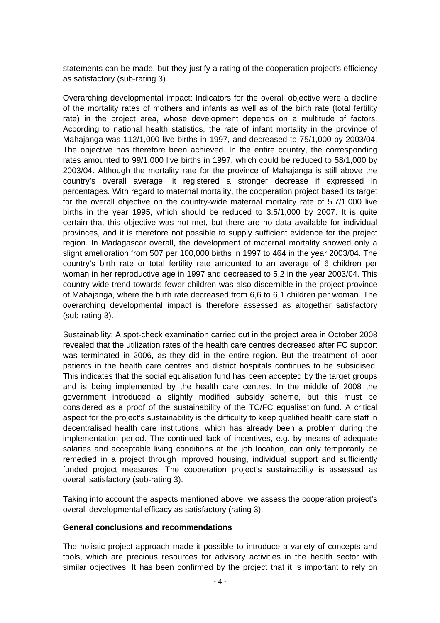statements can be made, but they justify a rating of the cooperation project's efficiency as satisfactory (sub-rating 3).

Overarching developmental impact: Indicators for the overall objective were a decline of the mortality rates of mothers and infants as well as of the birth rate (total fertility rate) in the project area, whose development depends on a multitude of factors. According to national health statistics, the rate of infant mortality in the province of Mahajanga was 112/1,000 live births in 1997, and decreased to 75/1,000 by 2003/04. The obiective has therefore been achieved. In the entire country, the corresponding rates amounted to 99/1,000 live births in 1997, which could be reduced to 58/1,000 by 2003/04. Although the mortality rate for the province of Mahajanga is still above the country's overall average, it registered a stronger decrease if expressed in percentages. With regard to maternal mortality, the cooperation project based its target for the overall objective on the country-wide maternal mortality rate of 5.7/1,000 live births in the year 1995, which should be reduced to 3.5/1,000 by 2007. It is quite certain that this objective was not met, but there are no data available for individual provinces, and it is therefore not possible to supply sufficient evidence for the project region. In Madagascar overall, the development of maternal mortality showed only a slight amelioration from 507 per 100,000 births in 1997 to 464 in the year 2003/04. The country's birth rate or total fertility rate amounted to an average of 6 children per woman in her reproductive age in 1997 and decreased to 5,2 in the year 2003/04. This country-wide trend towards fewer children was also discernible in the project province of Mahajanga, where the birth rate decreased from 6,6 to 6,1 children per woman. The overarching developmental impact is therefore assessed as altogether satisfactory (sub-rating 3).

Sustainability: A spot-check examination carried out in the project area in October 2008 revealed that the utilization rates of the health care centres decreased after FC support was terminated in 2006, as they did in the entire region. But the treatment of poor patients in the health care centres and district hospitals continues to be subsidised. This indicates that the social equalisation fund has been accepted by the target groups and is being implemented by the health care centres. In the middle of 2008 the government introduced a slightly modified subsidy scheme, but this must be considered as a proof of the sustainability of the TC/FC equalisation fund. A critical aspect for the project's sustainability is the difficulty to keep qualified health care staff in decentralised health care institutions, which has already been a problem during the implementation period. The continued lack of incentives, e.g. by means of adequate salaries and acceptable living conditions at the job location, can only temporarily be remedied in a project through improved housing, individual support and sufficiently funded project measures. The cooperation project's sustainability is assessed as overall satisfactory (sub-rating 3).

Taking into account the aspects mentioned above, we assess the cooperation project's overall developmental efficacy as satisfactory (rating 3).

# **General conclusions and recommendations**

The holistic project approach made it possible to introduce a variety of concepts and tools, which are precious resources for advisory activities in the health sector with similar objectives. It has been confirmed by the project that it is important to rely on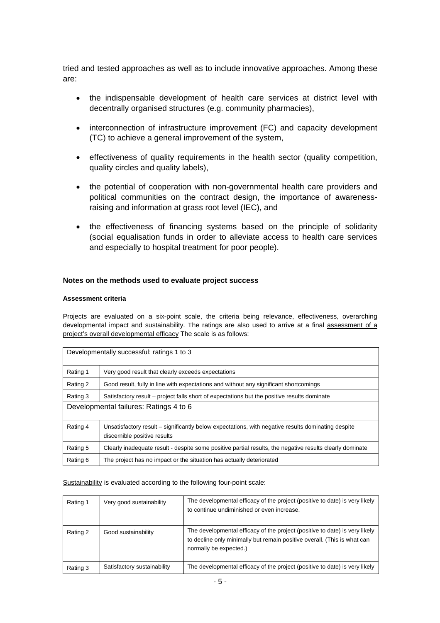tried and tested approaches as well as to include innovative approaches. Among these are:

- the indispensable development of health care services at district level with decentrally organised structures (e.g. community pharmacies),
- interconnection of infrastructure improvement (FC) and capacity development (TC) to achieve a general improvement of the system,
- effectiveness of quality requirements in the health sector (quality competition, quality circles and quality labels),
- the potential of cooperation with non-governmental health care providers and political communities on the contract design, the importance of awarenessraising and information at grass root level (IEC), and
- the effectiveness of financing systems based on the principle of solidarity (social equalisation funds in order to alleviate access to health care services and especially to hospital treatment for poor people).

### **Notes on the methods used to evaluate project success**

### **Assessment criteria**

Projects are evaluated on a six-point scale, the criteria being relevance, effectiveness, overarching developmental impact and sustainability. The ratings are also used to arrive at a final assessment of a project's overall developmental efficacy The scale is as follows:

| Developmentally successful: ratings 1 to 3 |                                                                                                                                    |  |  |
|--------------------------------------------|------------------------------------------------------------------------------------------------------------------------------------|--|--|
| Rating 1                                   | Very good result that clearly exceeds expectations                                                                                 |  |  |
| Rating 2                                   | Good result, fully in line with expectations and without any significant shortcomings                                              |  |  |
| Rating 3                                   | Satisfactory result – project falls short of expectations but the positive results dominate                                        |  |  |
| Developmental failures: Ratings 4 to 6     |                                                                                                                                    |  |  |
| Rating 4                                   | Unsatisfactory result – significantly below expectations, with negative results dominating despite<br>discernible positive results |  |  |
| Rating 5                                   | Clearly inadequate result - despite some positive partial results, the negative results clearly dominate                           |  |  |
| Rating 6                                   | The project has no impact or the situation has actually deteriorated                                                               |  |  |

#### Sustainability is evaluated according to the following four-point scale:

| Rating 1 | Very good sustainability    | The developmental efficacy of the project (positive to date) is very likely<br>to continue undiminished or even increase.                                                         |
|----------|-----------------------------|-----------------------------------------------------------------------------------------------------------------------------------------------------------------------------------|
| Rating 2 | Good sustainability         | The developmental efficacy of the project (positive to date) is very likely<br>to decline only minimally but remain positive overall. (This is what can<br>normally be expected.) |
| Rating 3 | Satisfactory sustainability | The developmental efficacy of the project (positive to date) is very likely                                                                                                       |